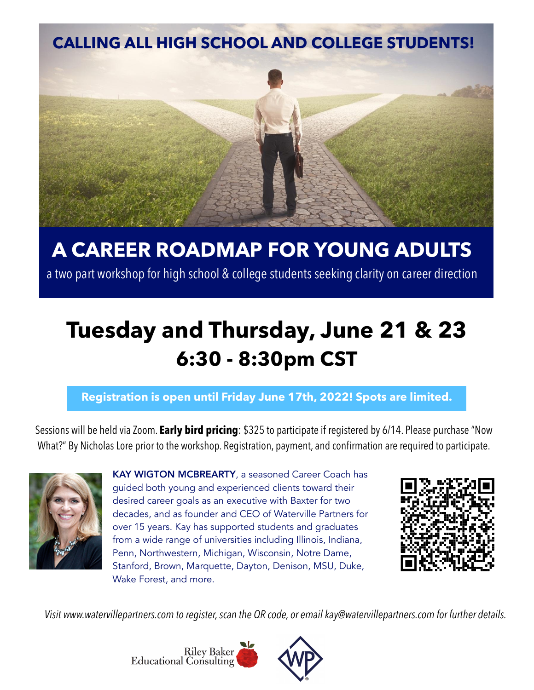

# **A CAREER ROADMAP FOR YOUNG ADULTS**

a two part workshop for high school & college students seeking clarity on career direction

# **Tuesday and Thursday, June 21 & 23 6:30 - 8:30pm CST**

#### **Registration is open until Friday June 17th, 2022! Spots are limited.**

Sessions will be held via Zoom. **Early bird pricing**: \$325 to participate if registered by 6/14. Please purchase "Now What?" By Nicholas Lore prior to the workshop. Registration, payment, and confirmation are required to participate.



KAY WIGTON MCBREARTY, a seasoned Career Coach has guided both young and experienced clients toward their desired career goals as an executive with Baxter for two decades, and as founder and CEO of Waterville Partners for over 15 years. Kay has supported students and graduates from a wide range of universities including Illinois, Indiana, Penn, Northwestern, Michigan, Wisconsin, Notre Dame, Stanford, Brown, Marquette, Dayton, Denison, MSU, Duke, Wake Forest, and more.



*Visit [www.watervillepartners.com](http://www.watervillepartners.com) to register, scan the QR code, or email [kay@watervillepartners.com](mailto:kay@watervillepartners.com) for further details.*